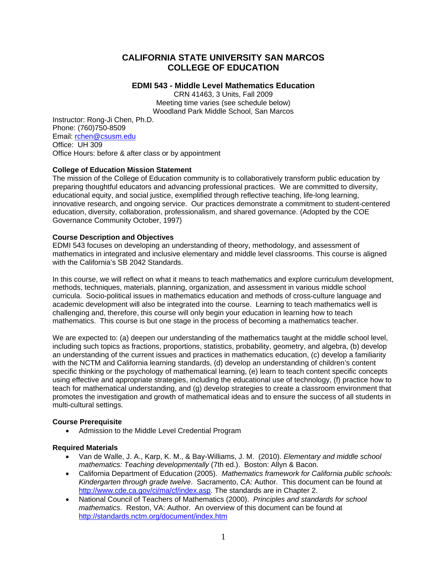# **CALIFORNIA STATE UNIVERSITY SAN MARCOS COLLEGE OF EDUCATION**

## **EDMI 543 - Middle Level Mathematics Education**

CRN 41463, 3 Units, Fall 2009 Meeting time varies (see schedule below) Woodland Park Middle School, San Marcos

Instructor: Rong-Ji Chen, Ph.D. Phone: (760)750-8509 Email: rchen@csusm.edu Office: UH 309 Office Hours: before & after class or by appointment

## **College of Education Mission Statement**

The mission of the College of Education community is to collaboratively transform public education by preparing thoughtful educators and advancing professional practices. We are committed to diversity, educational equity, and social justice, exemplified through reflective teaching, life-long learning, innovative research, and ongoing service. Our practices demonstrate a commitment to student-centered education, diversity, collaboration, professionalism, and shared governance. (Adopted by the COE Governance Community October, 1997)

## **Course Description and Objectives**

EDMI 543 focuses on developing an understanding of theory, methodology, and assessment of mathematics in integrated and inclusive elementary and middle level classrooms. This course is aligned with the California's SB 2042 Standards.

In this course, we will reflect on what it means to teach mathematics and explore curriculum development, methods, techniques, materials, planning, organization, and assessment in various middle school curricula. Socio-political issues in mathematics education and methods of cross-culture language and academic development will also be integrated into the course. Learning to teach mathematics well is challenging and, therefore, this course will only begin your education in learning how to teach mathematics. This course is but one stage in the process of becoming a mathematics teacher.

We are expected to: (a) deepen our understanding of the mathematics taught at the middle school level, including such topics as fractions, proportions, statistics, probability, geometry, and algebra, (b) develop an understanding of the current issues and practices in mathematics education, (c) develop a familiarity with the NCTM and California learning standards, (d) develop an understanding of children's content specific thinking or the psychology of mathematical learning, (e) learn to teach content specific concepts using effective and appropriate strategies, including the educational use of technology, (f) practice how to teach for mathematical understanding, and (g) develop strategies to create a classroom environment that promotes the investigation and growth of mathematical ideas and to ensure the success of all students in multi-cultural settings.

## **Course Prerequisite**

• Admission to the Middle Level Credential Program

## **Required Materials**

- • Van de Walle, J. A., Karp, K. M., & Bay-Williams, J. M. (2010). *Elementary and middle school mathematics: Teaching developmentally* (7th ed.). Boston: Allyn & Bacon.
- • California Department of Education (2005). *Mathematics framework for California public schools: Kindergarten through grade twelve*. Sacramento, CA: Author. This document can be found at http://www.cde.ca.gov/ci/ma/cf/index.asp. The standards are in Chapter 2.
- National Council of Teachers of Mathematics (2000). *Principles and standards for school mathematics*. Reston, VA: Author. An overview of this document can be found at http://standards.nctm.org/document/index.htm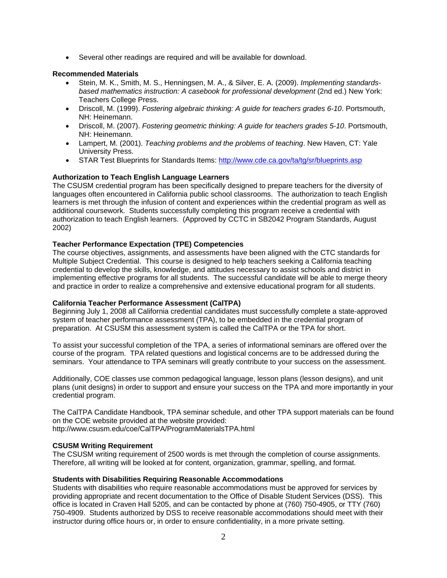• Several other readings are required and will be available for download.

## **Recommended Materials**

- Stein, M. K., Smith, M. S., Henningsen, M. A., & Silver, E. A. (2009). *Implementing standardsbased mathematics instruction: A casebook for professional development* (2nd ed.) New York: Teachers College Press.
- • Driscoll, M. (1999). *Fostering algebraic thinking: A guide for teachers grades 6-10*. Portsmouth, NH: Heinemann.
- • Driscoll, M. (2007). *Fostering geometric thinking: A guide for teachers grades 5-10*. Portsmouth, NH: Heinemann.
- • Lampert, M. (2001). *Teaching problems and the problems of teaching*. New Haven, CT: Yale University Press.
- STAR Test Blueprints for Standards Items: http://www.cde.ca.gov/ta/tg/sr/blueprints.asp

## **Authorization to Teach English Language Learners**

The CSUSM credential program has been specifically designed to prepare teachers for the diversity of languages often encountered in California public school classrooms. The authorization to teach English learners is met through the infusion of content and experiences within the credential program as well as additional coursework. Students successfully completing this program receive a credential with authorization to teach English learners. (Approved by CCTC in SB2042 Program Standards, August 2002)

## **Teacher Performance Expectation (TPE) Competencies**

The course objectives, assignments, and assessments have been aligned with the CTC standards for Multiple Subject Credential. This course is designed to help teachers seeking a California teaching credential to develop the skills, knowledge, and attitudes necessary to assist schools and district in implementing effective programs for all students. The successful candidate will be able to merge theory and practice in order to realize a comprehensive and extensive educational program for all students.

## **California Teacher Performance Assessment (CalTPA)**

Beginning July 1, 2008 all California credential candidates must successfully complete a state-approved system of teacher performance assessment (TPA), to be embedded in the credential program of preparation. At CSUSM this assessment system is called the CalTPA or the TPA for short.

To assist your successful completion of the TPA, a series of informational seminars are offered over the course of the program. TPA related questions and logistical concerns are to be addressed during the seminars. Your attendance to TPA seminars will greatly contribute to your success on the assessment.

Additionally, COE classes use common pedagogical language, lesson plans (lesson designs), and unit plans (unit designs) in order to support and ensure your success on the TPA and more importantly in your credential program.

The CalTPA Candidate Handbook, TPA seminar schedule, and other TPA support materials can be found on the COE website provided at the website provided: http://www.csusm.edu/coe/CalTPA/ProgramMaterialsTPA.html

## **CSUSM Writing Requirement**

The CSUSM writing requirement of 2500 words is met through the completion of course assignments. Therefore, all writing will be looked at for content, organization, grammar, spelling, and format.

## **Students with Disabilities Requiring Reasonable Accommodations**

Students with disabilities who require reasonable accommodations must be approved for services by providing appropriate and recent documentation to the Office of Disable Student Services (DSS). This office is located in Craven Hall 5205, and can be contacted by phone at (760) 750-4905, or TTY (760) 750-4909. Students authorized by DSS to receive reasonable accommodations should meet with their instructor during office hours or, in order to ensure confidentiality, in a more private setting.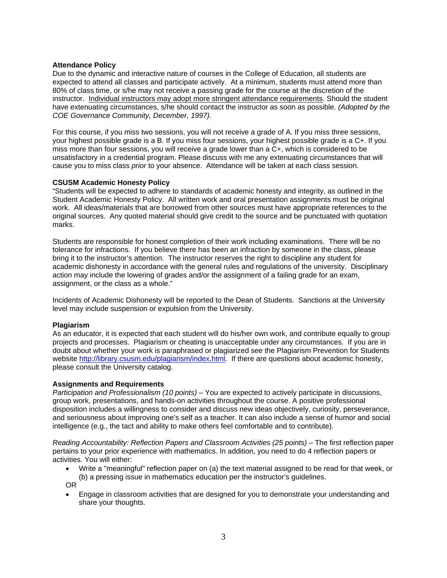## **Attendance Policy**

Due to the dynamic and interactive nature of courses in the College of Education, all students are expected to attend all classes and participate actively. At a minimum, students must attend more than 80% of class time, or s/he may not receive a passing grade for the course at the discretion of the instructor. Individual instructors may adopt more stringent attendance requirements. Should the student have extenuating circumstances, s/he should contact the instructor as soon as possible. *(Adopted by the COE Governance Community, December, 1997).* 

For this course, if you miss two sessions, you will not receive a grade of A. If you miss three sessions, your highest possible grade is a B. If you miss four sessions, your highest possible grade is a C+. If you miss more than four sessions, you will receive a grade lower than a C+, which is considered to be unsatisfactory in a credential program. Please discuss with me any extenuating circumstances that will cause you to miss class *prior* to your absence. Attendance will be taken at each class session.

## **CSUSM Academic Honesty Policy**

"Students will be expected to adhere to standards of academic honesty and integrity, as outlined in the Student Academic Honesty Policy. All written work and oral presentation assignments must be original work. All ideas/materials that are borrowed from other sources must have appropriate references to the original sources. Any quoted material should give credit to the source and be punctuated with quotation marks.

Students are responsible for honest completion of their work including examinations. There will be no tolerance for infractions. If you believe there has been an infraction by someone in the class, please bring it to the instructor's attention. The instructor reserves the right to discipline any student for academic dishonesty in accordance with the general rules and regulations of the university. Disciplinary action may include the lowering of grades and/or the assignment of a failing grade for an exam, assignment, or the class as a whole."

Incidents of Academic Dishonesty will be reported to the Dean of Students. Sanctions at the University level may include suspension or expulsion from the University.

## **Plagiarism**

As an educator, it is expected that each student will do his/her own work, and contribute equally to group projects and processes. Plagiarism or cheating is unacceptable under any circumstances. If you are in doubt about whether your work is paraphrased or plagiarized see the Plagiarism Prevention for Students website http://library.csusm.edu/plagiarism/index.html. If there are questions about academic honesty, please consult the University catalog.

## **Assignments and Requirements**

*Participation and Professionalism (10 points)* – You are expected to actively participate in discussions, group work, presentations, and hands-on activities throughout the course. A positive professional disposition includes a willingness to consider and discuss new ideas objectively, curiosity, perseverance, and seriousness about improving one's self as a teacher. It can also include a sense of humor and social intelligence (e.g., the tact and ability to make others feel comfortable and to contribute).

*Reading Accountability: Reflection Papers and Classroom Activities (25 points) – The first reflection paper* pertains to your prior experience with mathematics. In addition, you need to do 4 reflection papers or activities. You will either:

- Write a "meaningful" reflection paper on (a) the text material assigned to be read for that week, or (b) a pressing issue in mathematics education per the instructor's guidelines. OR
- Engage in classroom activities that are designed for you to demonstrate your understanding and share your thoughts.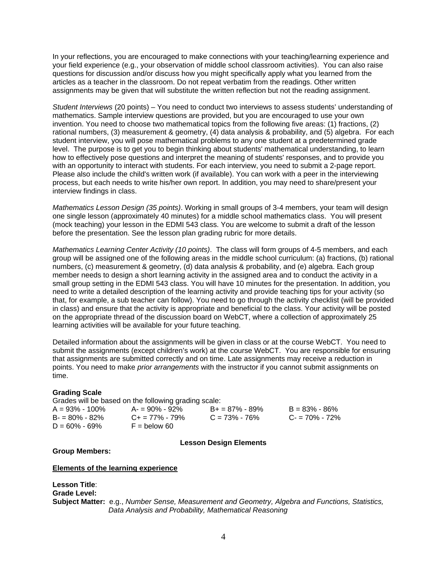In your reflections, you are encouraged to make connections with your teaching/learning experience and your field experience (e.g., your observation of middle school classroom activities). You can also raise questions for discussion and/or discuss how you might specifically apply what you learned from the articles as a teacher in the classroom. Do not repeat verbatim from the readings. Other written assignments may be given that will substitute the written reflection but not the reading assignment.

*Student Interviews* (20 points) – You need to conduct two interviews to assess students' understanding of mathematics. Sample interview questions are provided, but you are encouraged to use your own invention. You need to choose two mathematical topics from the following five areas: (1) fractions, (2) rational numbers, (3) measurement & geometry, (4) data analysis & probability, and (5) algebra. For each student interview, you will pose mathematical problems to any one student at a predetermined grade level. The purpose is to get you to begin thinking about students' mathematical understanding, to learn how to effectively pose questions and interpret the meaning of students' responses, and to provide you with an opportunity to interact with students. For each interview, you need to submit a 2-page report. Please also include the child's written work (if available). You can work with a peer in the interviewing process, but each needs to write his/her own report. In addition, you may need to share/present your interview findings in class.

*Mathematics Lesson Design (35 points)*. Working in small groups of 3-4 members, your team will design one single lesson (approximately 40 minutes) for a middle school mathematics class. You will present (mock teaching) your lesson in the EDMI 543 class. You are welcome to submit a draft of the lesson before the presentation. See the lesson plan grading rubric for more details.

*Mathematics Learning Center Activity (10 points)*. The class will form groups of 4-5 members, and each group will be assigned one of the following areas in the middle school curriculum: (a) fractions, (b) rational numbers, (c) measurement & geometry, (d) data analysis & probability, and (e) algebra. Each group member needs to design a short learning activity in the assigned area and to conduct the activity in a small group setting in the EDMI 543 class. You will have 10 minutes for the presentation. In addition, you need to write a detailed description of the learning activity and provide teaching tips for your activity (so that, for example, a sub teacher can follow). You need to go through the activity checklist (will be provided in class) and ensure that the activity is appropriate and beneficial to the class. Your activity will be posted on the appropriate thread of the discussion board on WebCT, where a collection of approximately 25 learning activities will be available for your future teaching.

Detailed information about the assignments will be given in class or at the course WebCT. You need to submit the assignments (except children's work) at the course WebCT. You are responsible for ensuring that assignments are submitted correctly and on time. Late assignments may receive a reduction in points. You need to make *prior arrangements* with the instructor if you cannot submit assignments on time.

## **Grading Scale**

Grades will be based on the following grading scale:

| $A = 93\% - 100\%$ | $A = 90\% - 92\%$       | $B+ = 87\% - 89\%$ | $B = 83\% - 86\%$ |
|--------------------|-------------------------|--------------------|-------------------|
| $B = 80\% - 82\%$  | $C_{\pm} = 77\% - 79\%$ | $C = 73\% - 76\%$  | $C = 70\% - 72\%$ |
| $D = 60\% - 69\%$  | $F =$ below 60          |                    |                   |

**Lesson Design Elements** 

**Group Members:** 

**Elements of the learning experience** 

**Lesson Title**: **Grade Level: Subject Matter:** e.g., *Number Sense, Measurement and Geometry, Algebra and Functions, Statistics, Data Analysis and Probability, Mathematical Reasoning*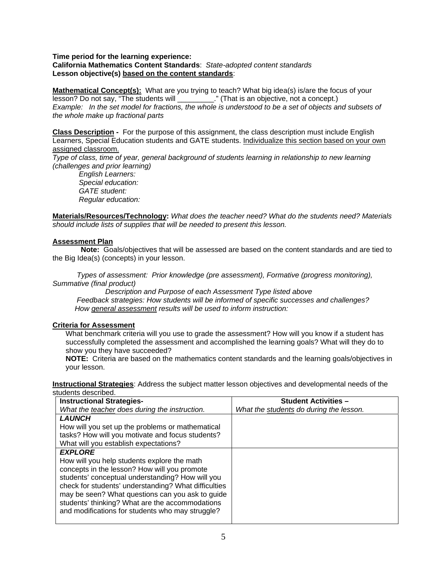## **Time period for the learning experience: California Mathematics Content Standards**: *State-adopted content standards*  **Lesson objective(s) based on the content standards**:

**Mathematical Concept(s):** What are you trying to teach? What big idea(s) is/are the focus of your lesson? Do not say, "The students will \_\_\_\_\_\_\_\_\_." (That is an objective, not a concept.) *Example: In the set model for fractions, the whole is understood to be a set of objects and subsets of the whole make up fractional parts* 

**Class Description -** For the purpose of this assignment, the class description must include English Learners, Special Education students and GATE students. Individualize this section based on your own assigned classroom.

*Type of class, time of year, general background of students learning in relationship to new learning (challenges and prior learning)* 

 *Regular education: English Learners: Special education: GATE student:* 

**Materials/Resources/Technology:** *What does the teacher need? What do the students need? Materials should include lists of supplies that will be needed to present this lesson.* 

## **Assessment Plan**

**Note:** Goals/objectives that will be assessed are based on the content standards and are tied to the Big Idea(s) (concepts) in your lesson.

 *Types of assessment: Prior knowledge (pre assessment), Formative (progress monitoring), Summative (final product)* 

 *Description and Purpose of each Assessment Type listed above Feedback strategies: How students will be informed of specific successes and challenges? How general assessment results will be used to inform instruction:* 

## **Criteria for Assessment**

What benchmark criteria will you use to grade the assessment? How will you know if a student has successfully completed the assessment and accomplished the learning goals? What will they do to show you they have succeeded?

**NOTE:** Criteria are based on the mathematics content standards and the learning goals/objectives in your lesson.

**Instructional Strategies**: Address the subject matter lesson objectives and developmental needs of the students described.

| <b>Instructional Strategies-</b>                     | <b>Student Activities -</b>             |
|------------------------------------------------------|-----------------------------------------|
| What the teacher does during the instruction.        | What the students do during the lesson. |
| <b>LAUNCH</b>                                        |                                         |
| How will you set up the problems or mathematical     |                                         |
| tasks? How will you motivate and focus students?     |                                         |
| What will you establish expectations?                |                                         |
| <b>EXPLORE</b>                                       |                                         |
| How will you help students explore the math          |                                         |
| concepts in the lesson? How will you promote         |                                         |
| students' conceptual understanding? How will you     |                                         |
| check for students' understanding? What difficulties |                                         |
| may be seen? What questions can you ask to guide     |                                         |
| students' thinking? What are the accommodations      |                                         |
| and modifications for students who may struggle?     |                                         |
|                                                      |                                         |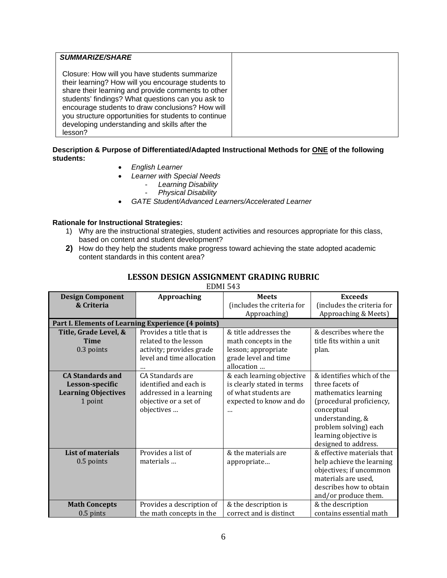| <b>SUMMARIZE/SHARE</b>                                                                                                                                                                                                                                                                                                                                                                 |
|----------------------------------------------------------------------------------------------------------------------------------------------------------------------------------------------------------------------------------------------------------------------------------------------------------------------------------------------------------------------------------------|
| Closure: How will you have students summarize<br>their learning? How will you encourage students to<br>share their learning and provide comments to other<br>students' findings? What questions can you ask to<br>encourage students to draw conclusions? How will<br>you structure opportunities for students to continue<br>developing understanding and skills after the<br>lesson? |

## **Description & Purpose of Differentiated/Adapted Instructional Methods for ONE of the following students:**

- *English Learner*
- *Learner with Special Needs* 
	- *Learning Disability* 
		- *Physical Disability*
- *GATE Student/Advanced Learners/Accelerated Learner*

## **Rationale for Instructional Strategies:**

- 1) Why are the instructional strategies, student activities and resources appropriate for this class, based on content and student development?
- **2)** How do they help the students make progress toward achieving the state adopted academic content standards in this content area?

| LESSON DESIGN ASSIGNMENT GRADING RUBRIC |  |
|-----------------------------------------|--|
|-----------------------------------------|--|

EDMI 543

| <b>Design Component</b>    | Approaching                                        | <b>Meets</b>               | <b>Exceeds</b>             |
|----------------------------|----------------------------------------------------|----------------------------|----------------------------|
| & Criteria                 |                                                    | (includes the criteria for | (includes the criteria for |
|                            |                                                    | Approaching)               | Approaching & Meets)       |
|                            | Part I. Elements of Learning Experience (4 points) |                            |                            |
| Title, Grade Level, &      | Provides a title that is                           | & title addresses the      | & describes where the      |
| <b>Time</b>                | related to the lesson                              | math concepts in the       | title fits within a unit   |
| 0.3 points                 | activity; provides grade                           | lesson; appropriate        | plan.                      |
|                            | level and time allocation                          | grade level and time       |                            |
|                            |                                                    | allocation                 |                            |
| <b>CA Standards and</b>    | CA Standards are                                   | & each learning objective  | & identifies which of the  |
| Lesson-specific            | identified and each is                             | is clearly stated in terms | three facets of            |
| <b>Learning Objectives</b> | addressed in a learning                            | of what students are       | mathematics learning       |
| 1 point                    | objective or a set of                              | expected to know and do    | (procedural proficiency,   |
|                            | objectives                                         |                            | conceptual                 |
|                            |                                                    |                            | understanding, &           |
|                            |                                                    |                            | problem solving) each      |
|                            |                                                    |                            | learning objective is      |
|                            |                                                    |                            | designed to address.       |
| <b>List of materials</b>   | Provides a list of                                 | & the materials are        | & effective materials that |
| 0.5 points                 | materials                                          | appropriate                | help achieve the learning  |
|                            |                                                    |                            | objectives; if uncommon    |
|                            |                                                    |                            | materials are used,        |
|                            |                                                    |                            | describes how to obtain    |
|                            |                                                    |                            | and/or produce them.       |
| <b>Math Concepts</b>       | Provides a description of                          | & the description is       | & the description          |
| $0.5$ pints                | the math concepts in the                           | correct and is distinct    | contains essential math    |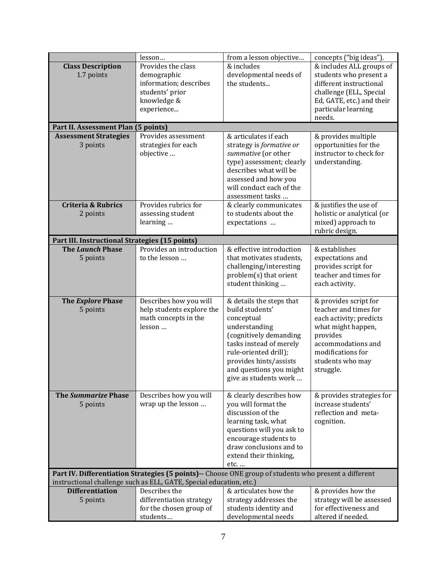|                                                                                                                                                                               | lesson                                                                                                      | from a lesson objective                                                                                                                                                                                                                | concepts ("big ideas").                                                                                                                                                                 |
|-------------------------------------------------------------------------------------------------------------------------------------------------------------------------------|-------------------------------------------------------------------------------------------------------------|----------------------------------------------------------------------------------------------------------------------------------------------------------------------------------------------------------------------------------------|-----------------------------------------------------------------------------------------------------------------------------------------------------------------------------------------|
| <b>Class Description</b><br>1.7 points                                                                                                                                        | Provides the class<br>demographic<br>information; describes<br>students' prior<br>knowledge &<br>experience | & includes<br>developmental needs of<br>the students                                                                                                                                                                                   | & includes ALL groups of<br>students who present a<br>different instructional<br>challenge (ELL, Special<br>Ed, GATE, etc.) and their<br>particular learning<br>needs.                  |
| Part II. Assessment Plan (5 points)                                                                                                                                           |                                                                                                             |                                                                                                                                                                                                                                        |                                                                                                                                                                                         |
| <b>Assessment Strategies</b><br>3 points                                                                                                                                      | Provides assessment<br>strategies for each<br>objective                                                     | & articulates if each<br>strategy is formative or<br>summative (or other<br>type) assessment; clearly<br>describes what will be<br>assessed and how you<br>will conduct each of the<br>assessment tasks                                | & provides multiple<br>opportunities for the<br>instructor to check for<br>understanding.                                                                                               |
| <b>Criteria &amp; Rubrics</b><br>2 points                                                                                                                                     | Provides rubrics for<br>assessing student<br>learning                                                       | & clearly communicates<br>to students about the<br>expectations                                                                                                                                                                        | & justifies the use of<br>holistic or analytical (or<br>mixed) approach to<br>rubric design.                                                                                            |
| Part III. Instructional Strategies (15 points)                                                                                                                                |                                                                                                             |                                                                                                                                                                                                                                        |                                                                                                                                                                                         |
| <b>The Launch Phase</b><br>5 points                                                                                                                                           | Provides an introduction<br>to the lesson                                                                   | & effective introduction<br>that motivates students,<br>challenging/interesting<br>problem(s) that orient<br>student thinking                                                                                                          | & establishes<br>expectations and<br>provides script for<br>teacher and times for<br>each activity.                                                                                     |
| The Explore Phase<br>5 points                                                                                                                                                 | Describes how you will<br>help students explore the<br>math concepts in the<br>lesson                       | & details the steps that<br>build students'<br>conceptual<br>understanding<br>(cognitively demanding<br>tasks instead of merely<br>rule-oriented drill);<br>provides hints/assists<br>and questions you might<br>give as students work | & provides script for<br>teacher and times for<br>each activity; predicts<br>what might happen,<br>provides<br>accommodations and<br>modifications for<br>students who may<br>struggle. |
| <b>The Summarize Phase</b><br>5 points                                                                                                                                        | Describes how you will<br>wrap up the lesson                                                                | & clearly describes how<br>you will format the<br>discussion of the<br>learning task, what<br>questions will you ask to<br>encourage students to<br>draw conclusions and to<br>extend their thinking,<br>etc.                          | & provides strategies for<br>increase students'<br>reflection and meta-<br>cognition.                                                                                                   |
| Part IV. Differentiation Strategies (5 points) -- Choose ONE group of students who present a different<br>instructional challenge such as ELL, GATE, Special education, etc.) |                                                                                                             |                                                                                                                                                                                                                                        |                                                                                                                                                                                         |
| <b>Differentiation</b><br>5 points                                                                                                                                            | Describes the<br>differentiation strategy<br>for the chosen group of<br>students                            | & articulates how the<br>strategy addresses the<br>students identity and<br>developmental needs                                                                                                                                        | & provides how the<br>strategy will be assessed<br>for effectiveness and<br>altered if needed.                                                                                          |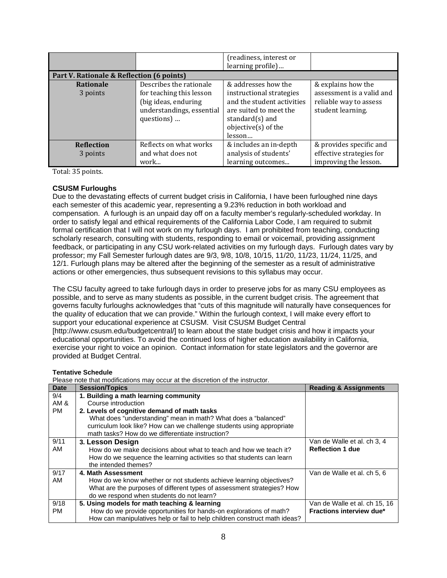|                               |                                                                                                                        | (readiness, interest or<br>learning profile)                                                                                                                   |                                                                                                |  |
|-------------------------------|------------------------------------------------------------------------------------------------------------------------|----------------------------------------------------------------------------------------------------------------------------------------------------------------|------------------------------------------------------------------------------------------------|--|
|                               | Part V. Rationale & Reflection (6 points)                                                                              |                                                                                                                                                                |                                                                                                |  |
| <b>Rationale</b><br>3 points  | Describes the rationale<br>for teaching this lesson<br>(big ideas, enduring<br>understandings, essential<br>questions) | & addresses how the<br>instructional strategies<br>and the student activities<br>are suited to meet the<br>standard $(s)$ and<br>objective(s) of the<br>lesson | & explains how the<br>assessment is a valid and<br>reliable way to assess<br>student learning. |  |
| <b>Reflection</b><br>3 points | Reflects on what works<br>and what does not<br>work                                                                    | & includes an in-depth<br>analysis of students'<br>learning outcomes                                                                                           | & provides specific and<br>effective strategies for<br>improving the lesson.                   |  |

Total: 35 points.

## **CSUSM Furloughs**

Due to the devastating effects of current budget crisis in California, I have been furloughed nine days each semester of this academic year, representing a 9.23% reduction in both workload and compensation. A furlough is an unpaid day off on a faculty member's regularly-scheduled workday. In order to satisfy legal and ethical requirements of the California Labor Code, I am required to submit formal certification that I will not work on my furlough days. I am prohibited from teaching, conducting scholarly research, consulting with students, responding to email or voicemail, providing assignment feedback, or participating in any CSU work-related activities on my furlough days. Furlough dates vary by professor; my Fall Semester furlough dates are 9/3, 9/8, 10/8, 10/15, 11/20, 11/23, 11/24, 11/25, and 12/1. Furlough plans may be altered after the beginning of the semester as a result of administrative actions or other emergencies, thus subsequent revisions to this syllabus may occur.

The CSU faculty agreed to take furlough days in order to preserve jobs for as many CSU employees as possible, and to serve as many students as possible, in the current budget crisis. The agreement that governs faculty furloughs acknowledges that "cuts of this magnitude will naturally have consequences for the quality of education that we can provide." Within the furlough context, I will make every effort to support your educational experience at CSUSM. Visit CSUSM Budget Central [http://www.csusm.edu/budgetcentral/] to learn about the state budget crisis and how it impacts your educational opportunities. To avoid the continued loss of higher education availability in California, exercise your right to voice an opinion. Contact information for state legislators and the governor are provided at Budget Central.

#### **Tentative Schedule**

Please note that modifications may occur at the discretion of the instructor.

| <b>Date</b> | <b>Session/Topics</b>                                                     | <b>Reading &amp; Assignments</b> |
|-------------|---------------------------------------------------------------------------|----------------------------------|
| 9/4         | 1. Building a math learning community                                     |                                  |
| AM &        | Course introduction                                                       |                                  |
| <b>PM</b>   | 2. Levels of cognitive demand of math tasks                               |                                  |
|             | What does "understanding" mean in math? What does a "balanced"            |                                  |
|             | curriculum look like? How can we challenge students using appropriate     |                                  |
|             | math tasks? How do we differentiate instruction?                          |                                  |
| 9/11        | 3. Lesson Design                                                          | Van de Walle et al. ch 3, 4      |
| AM          | How do we make decisions about what to teach and how we teach it?         | <b>Reflection 1 due</b>          |
|             | How do we sequence the learning activities so that students can learn     |                                  |
|             | the intended themes?                                                      |                                  |
| 9/17        | 4. Math Assessment                                                        | Van de Walle et al. ch 5, 6      |
| AM          | How do we know whether or not students achieve learning objectives?       |                                  |
|             | What are the purposes of different types of assessment strategies? How    |                                  |
|             | do we respond when students do not learn?                                 |                                  |
| 9/18        | 5. Using models for math teaching & learning                              | Van de Walle et al. ch 15, 16    |
| РM          | How do we provide opportunities for hands-on explorations of math?        | Fractions interview due*         |
|             | How can manipulatives help or fail to help children construct math ideas? |                                  |